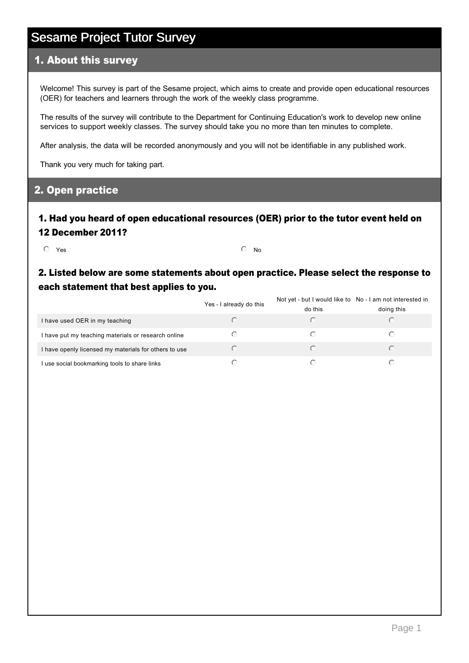#### 1. About this survey

Welcome! This survey is part of the Sesame project, which aims to create and provide open educational resources (OER) for teachers and learners through the work of the weekly class programme.

The results of the survey will contribute to the Department for Continuing Education's work to develop new online services to support weekly classes. The survey should take you no more than ten minutes to complete.

After analysis, the data will be recorded anonymously and you will not be identifiable in any published work.

Thank you very much for taking part.

### 2. Open practice

#### 1. Had you heard of open educational resources (OER) prior to the tutor event held on 12 December 2011?

 $\overline{\textcircled{\small{\textsf{N}}}}$  Yes  $\overline{\textcircled{\small{\textsf{N}}}}$ 

### 2. Listed below are some statements about open practice. Please select the response to each statement that best applies to you.

|                                                       | Yes - I already do this | Not yet - but I would like to No - I am not interested in<br>do this | doing this |
|-------------------------------------------------------|-------------------------|----------------------------------------------------------------------|------------|
| I have used OER in my teaching                        |                         |                                                                      |            |
| I have put my teaching materials or research online   |                         |                                                                      |            |
| I have openly licensed my materials for others to use |                         |                                                                      |            |
| I use social bookmarking tools to share links         |                         |                                                                      |            |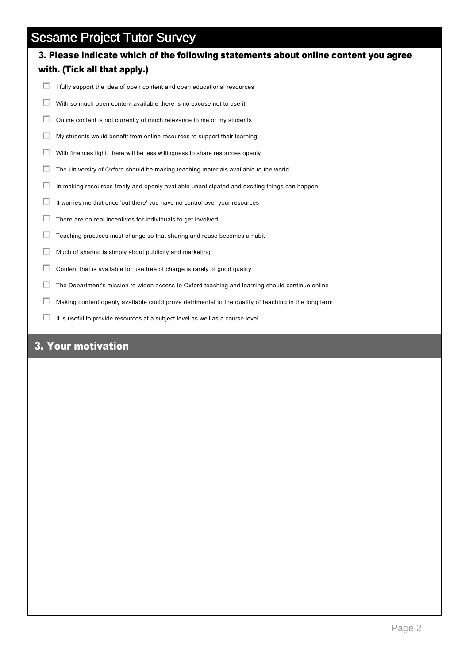# 3. Please indicate which of the following statements about online content you agree with. (Tick all that apply.)

- $\Box$  I fully support the idea of open content and open educational resources
- $\Box$  With so much open content available there is no excuse not to use it
- $\Box$  Online content is not currently of much relevance to me or my students
- $\Box$  My students would benefit from online resources to support their learning
- $\Box$  With finances tight, there will be less willingness to share resources openly
- $\Box$  The University of Oxford should be making teaching materials available to the world
- $\Box$  In making resources freely and openly available unanticipated and exciting things can happen
- $\Box$  It worries me that once 'out there' you have no control over your resources
- $\Box$  There are no real incentives for individuals to get involved
- $\Box$  Teaching practices must change so that sharing and reuse becomes a habit
- $\Box$  Much of sharing is simply about publicity and marketing
- $\Box$  Content that is available for use free of charge is rarely of good quality
- $\Box$  The Department's mission to widen access to Oxford teaching and learning should continue online
- $\Box$  Making content openly available could prove detrimental to the quality of teaching in the long term
- $\Box$  It is useful to provide resources at a subject level as well as a course level

## 3. Your motivation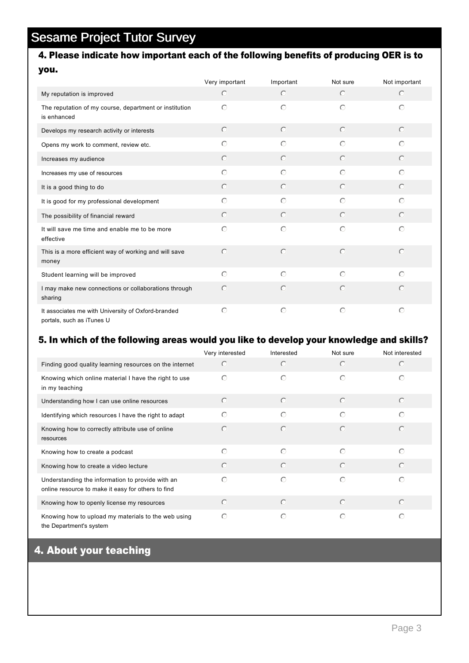## 4. Please indicate how important each of the following benefits of producing OER is to you.

|                                                                                 | Very important | Important  | Not sure   | Not important |
|---------------------------------------------------------------------------------|----------------|------------|------------|---------------|
| My reputation is improved                                                       | $\bigcirc$     | $\circ$    | $\bigcirc$ | $\odot$       |
| The reputation of my course, department or institution<br>is enhanced           | $\bigcirc$     | $\bigcirc$ | $\odot$    | $\odot$       |
| Develops my research activity or interests                                      | $\bigcirc$     | $\circ$    | $\odot$    | $\odot$       |
| Opens my work to comment, review etc.                                           | $\circ$        | $\circ$    | $\bigcap$  | $\odot$       |
| Increases my audience                                                           | $\circ$        | $\circ$    | $\odot$    | $\odot$       |
| Increases my use of resources                                                   | $\bigcirc$     | $\bigcirc$ | $\bigcirc$ | $\bigcirc$    |
| It is a good thing to do                                                        | $\circ$        | $\bigcirc$ | $\odot$    | $\odot$       |
| It is good for my professional development                                      | $\circ$        | $\bigcirc$ | $\odot$    | $\odot$       |
| The possibility of financial reward                                             | $\circ$        | $\circ$    | $\odot$    | $\odot$       |
| It will save me time and enable me to be more<br>effective                      | $\bigcirc$     | $\circ$    | $\odot$    | $\bigcirc$    |
| This is a more efficient way of working and will save<br>money                  | $\odot$        | $\bigcirc$ | $\bigcirc$ | $\bigcirc$    |
| Student learning will be improved                                               | $\circ$        | $\bigcirc$ | $\odot$    | $\odot$       |
| I may make new connections or collaborations through<br>sharing                 | $\circ$        | $\circ$    | $\bigcirc$ | $\odot$       |
| It associates me with University of Oxford-branded<br>portals, such as iTunes U | $\bigcirc$     | $\circ$    | $\bigcirc$ | $\odot$       |

#### 5. In which of the following areas would you like to develop your knowledge and skills?

|                                                                                                        | Very interested | Interested | Not sure   | Not interested |
|--------------------------------------------------------------------------------------------------------|-----------------|------------|------------|----------------|
| Finding good quality learning resources on the internet                                                | $\bigcirc$      | $\bigcirc$ | $\bigcirc$ | $\bigcap$      |
| Knowing which online material I have the right to use<br>in my teaching                                | $\bigcap$       | $\odot$    | $\odot$    | ∩              |
| Understanding how I can use online resources                                                           | $\odot$         | $\bigcirc$ | $\odot$    | $\odot$        |
| Identifying which resources I have the right to adapt                                                  | ⊙               | $\odot$    | $\odot$    | $\bigcirc$     |
| Knowing how to correctly attribute use of online<br>resources                                          | $\bigcirc$      | $\bigcirc$ | $\bigcirc$ | $\bigcap$      |
| Knowing how to create a podcast                                                                        | $\bigcap$       | $\bigcirc$ | $\bigcap$  | $\bigcap$      |
| Knowing how to create a video lecture                                                                  | $\bigcirc$      | $\odot$    | $\odot$    | $\bigcap$      |
| Understanding the information to provide with an<br>online resource to make it easy for others to find | $\bigcap$       | $\odot$    | $\bigcirc$ | $\bigcap$      |
| Knowing how to openly license my resources                                                             | $\bigcirc$      | $\odot$    | $\odot$    | $\bigcap$      |
| Knowing how to upload my materials to the web using<br>the Department's system                         | $\bigcirc$      | $\circ$    | $\odot$    | $\bigcap$      |

## 4. About your teaching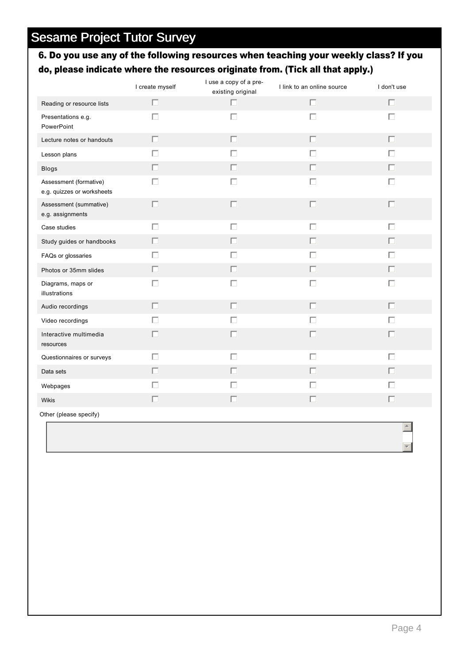## 6. Do you use any of the following resources when teaching your weekly class? If you do, please indicate where the resources originate from. (Tick all that apply.)

|                                                      | I create myself | I use a copy of a pre-<br>existing original | I link to an online source | I don't use |
|------------------------------------------------------|-----------------|---------------------------------------------|----------------------------|-------------|
| Reading or resource lists                            | $\Box$          | $\Box$                                      | $\Box$                     | $\Box$      |
| Presentations e.g.<br>PowerPoint                     | $\Box$          | $\Box$                                      | $\Box$                     | $\Box$      |
| Lecture notes or handouts                            | $\Box$          | П                                           | $\Box$                     | П           |
| Lesson plans                                         | П               | П                                           | $\Box$                     | П           |
| Blogs                                                | $\Box$          | П                                           | $\Box$                     | П           |
| Assessment (formative)<br>e.g. quizzes or worksheets | П               | П                                           | $\Box$                     | П           |
| Assessment (summative)<br>e.g. assignments           | $\Box$          | П                                           | $\Box$                     | П           |
| Case studies                                         | $\Box$          | $\Box$                                      | $\Box$                     | $\Box$      |
| Study guides or handbooks                            | $\Box$          | $\Box$                                      | $\Box$                     | $\Box$      |
| FAQs or glossaries                                   | П               | П                                           | $\Box$                     | П           |
| Photos or 35mm slides                                | П               | П                                           | $\Box$                     | П           |
| Diagrams, maps or<br>illustrations                   | П               | П                                           | $\Box$                     | $\Box$      |
| Audio recordings                                     | П               | П                                           | $\Box$                     | П           |
| Video recordings                                     | П               | $\Box$                                      | $\Box$                     | П           |
| Interactive multimedia<br>resources                  | П               | п                                           | $\Box$                     | П           |
| Questionnaires or surveys                            | $\Box$          | $\Box$                                      | $\Box$                     | $\Box$      |
| Data sets                                            | П               | п                                           | Г                          | П           |
| Webpages                                             | П               | П                                           | $\Box$                     | $\Box$      |
| <b>Wikis</b>                                         | $\Box$          | $\Box$                                      | $\Box$                     | $\Box$      |
| Other (please specify)                               |                 |                                             |                            |             |
|                                                      |                 |                                             |                            |             |

 $\overline{\mathbf{r}}$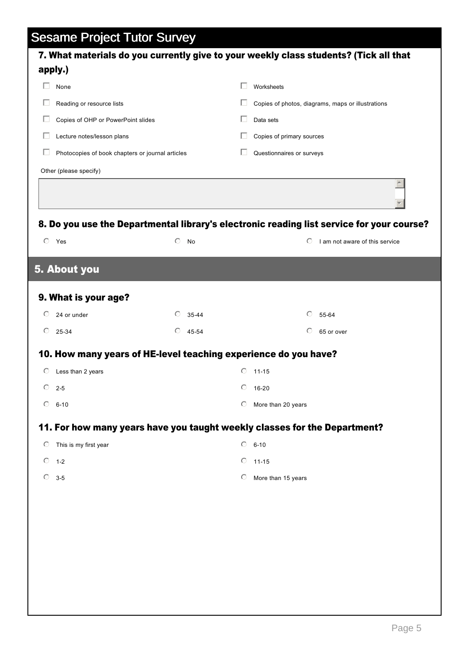| apply.)                                                         |                  |                      | 7. What materials do you currently give to your weekly class students? (Tick all that                         |  |
|-----------------------------------------------------------------|------------------|----------------------|---------------------------------------------------------------------------------------------------------------|--|
| None                                                            |                  | П<br>Worksheets      |                                                                                                               |  |
| Reading or resource lists                                       |                  |                      | Copies of photos, diagrams, maps or illustrations                                                             |  |
| Copies of OHP or PowerPoint slides                              |                  | ш<br>Data sets       |                                                                                                               |  |
| Lecture notes/lesson plans                                      |                  | $\mathbf{L}$         | Copies of primary sources                                                                                     |  |
| Photocopies of book chapters or journal articles                |                  | ш                    | Questionnaires or surveys                                                                                     |  |
| Other (please specify)                                          |                  |                      |                                                                                                               |  |
|                                                                 |                  |                      | $\blacktriangle$<br>8. Do you use the Departmental library's electronic reading list service for your course? |  |
| $\circ$<br>Yes                                                  | $\circ$<br>No    |                      | I am not aware of this service<br>O                                                                           |  |
| 5. About you                                                    |                  |                      |                                                                                                               |  |
| 9. What is your age?                                            |                  |                      |                                                                                                               |  |
| $\odot$<br>24 or under                                          | ⊙<br>35-44       |                      | ⊙<br>55-64                                                                                                    |  |
| $\circ$<br>25-34                                                | $\circ$<br>45-54 |                      | O<br>65 or over                                                                                               |  |
| 10. How many years of HE-level teaching experience do you have? |                  |                      |                                                                                                               |  |
| $\circ$<br>Less than 2 years                                    |                  | $\circ$<br>$11 - 15$ |                                                                                                               |  |
| $\circ$<br>$2 - 5$                                              |                  | O<br>16-20           |                                                                                                               |  |
| $6 - 10$<br>$\circ$                                             |                  | O                    | More than 20 years                                                                                            |  |
|                                                                 |                  |                      | 11. For how many years have you taught weekly classes for the Department?                                     |  |
| This is my first year<br>$\circ$                                |                  | $6 - 10$<br>$\circ$  |                                                                                                               |  |
| $\circ$<br>$1 - 2$                                              |                  | $\circ$<br>$11 - 15$ |                                                                                                               |  |
| $\circ$<br>$3 - 5$                                              |                  | O                    | More than 15 years                                                                                            |  |
|                                                                 |                  |                      |                                                                                                               |  |
|                                                                 |                  |                      |                                                                                                               |  |
|                                                                 |                  |                      |                                                                                                               |  |
|                                                                 |                  |                      |                                                                                                               |  |
|                                                                 |                  |                      |                                                                                                               |  |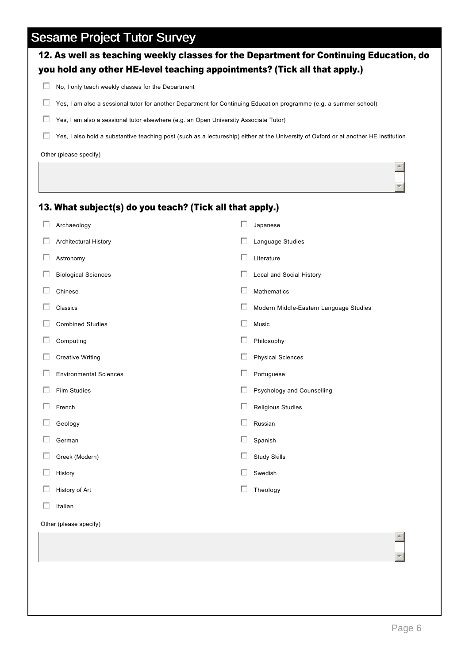|   |                                                                                      | No, I only teach weekly classes for the Department                                                                                   |
|---|--------------------------------------------------------------------------------------|--------------------------------------------------------------------------------------------------------------------------------------|
| Ш |                                                                                      | Yes, I am also a sessional tutor for another Department for Continuing Education programme (e.g. a summer school)                    |
| Ш | Yes, I am also a sessional tutor elsewhere (e.g. an Open University Associate Tutor) |                                                                                                                                      |
| Ш |                                                                                      | Yes, I also hold a substantive teaching post (such as a lectureship) either at the University of Oxford or at another HE institution |
|   | Other (please specify)                                                               |                                                                                                                                      |
|   |                                                                                      |                                                                                                                                      |
|   |                                                                                      |                                                                                                                                      |
|   | 13. What subject(s) do you teach? (Tick all that apply.)                             |                                                                                                                                      |
| П | Archaeology                                                                          | П<br>Japanese                                                                                                                        |
| Ш | Architectural History                                                                | ш<br>Language Studies                                                                                                                |
|   | Astronomy                                                                            | П<br>Literature                                                                                                                      |
|   | <b>Biological Sciences</b>                                                           | ш<br>Local and Social History                                                                                                        |
| H | Chinese                                                                              | П<br>Mathematics                                                                                                                     |
|   | Classics                                                                             | ш<br>Modern Middle-Eastern Language Studies                                                                                          |
|   | <b>Combined Studies</b>                                                              | П<br>Music                                                                                                                           |
| ш | Computing                                                                            | ш<br>Philosophy                                                                                                                      |
| Ш | <b>Creative Writing</b>                                                              | П<br><b>Physical Sciences</b>                                                                                                        |
| H | <b>Environmental Sciences</b>                                                        | П<br>Portuguese                                                                                                                      |
|   | <b>Film Studies</b>                                                                  | П<br>Psychology and Counselling                                                                                                      |
|   | French                                                                               | ш<br><b>Religious Studies</b>                                                                                                        |
|   | Geology                                                                              | Russian                                                                                                                              |
|   | German                                                                               | ш<br>Spanish                                                                                                                         |
|   | Greek (Modern)                                                                       | <b>Study Skills</b>                                                                                                                  |
|   | History                                                                              | Swedish                                                                                                                              |
|   | History of Art                                                                       | П<br>Theology                                                                                                                        |
|   | Italian                                                                              |                                                                                                                                      |
|   | Other (please specify)                                                               |                                                                                                                                      |

12. As well as teaching weekly classes for the Department for Continuing Education, do